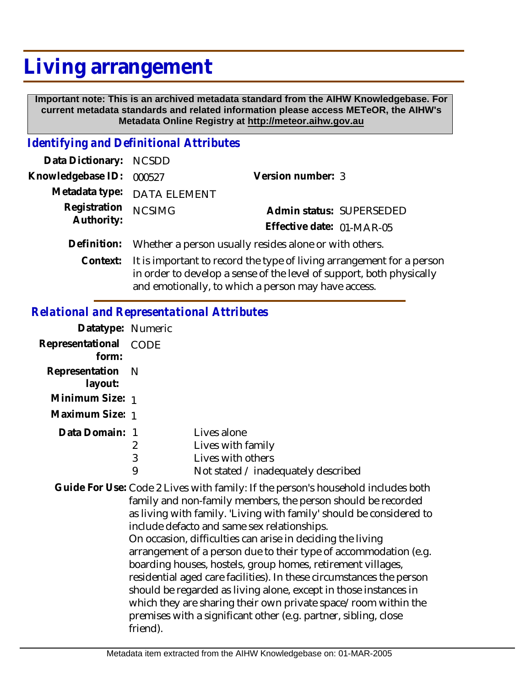## **Living arrangement**

 **Important note: This is an archived metadata standard from the AIHW Knowledgebase. For current metadata standards and related information please access METeOR, the AIHW's Metadata Online Registry at http://meteor.aihw.gov.au**

## *Identifying and Definitional Attributes*

| Data Dictionary: NCSDD   |                                                                         |                           |                          |
|--------------------------|-------------------------------------------------------------------------|---------------------------|--------------------------|
| Knowledgebase ID: 000527 |                                                                         | Version number: 3         |                          |
|                          | Metadata type: DATA ELEMENT                                             |                           |                          |
| Registration             | <b>NCSIMG</b>                                                           |                           | Admin status: SUPERSEDED |
| Authority:               |                                                                         | Effective date: 01-MAR-05 |                          |
|                          | Definition: Whether a person usually resides alone or with others.      |                           |                          |
|                          | Context: It is important to record the type of living arrangement for a |                           |                          |

rtant to record the type of living arrangement for a personin order to develop a sense of the level of support, both physically and emotionally, to which a person may have access. **Context:**

## *Relational and Representational Attributes*

| Datatype: Numeric |      |                                     |
|-------------------|------|-------------------------------------|
| Representational  | CODE |                                     |
| form:             |      |                                     |
| Representation N  |      |                                     |
| layout:           |      |                                     |
| Minimum Size: 1   |      |                                     |
| Maximum Size: 1   |      |                                     |
| Data Domain: 1    |      | Lives alone                         |
|                   | 2    | Lives with family                   |
|                   | 3    | Lives with others                   |
|                   | 9    | Not stated / inadequately described |

Guide For Use: Code 2 Lives with family: If the person's household includes both family and non-family members, the person should be recorded as living with family. 'Living with family' should be considered to include defacto and same sex relationships. On occasion, difficulties can arise in deciding the living arrangement of a person due to their type of accommodation (e.g. boarding houses, hostels, group homes, retirement villages, residential aged care facilities). In these circumstances the person should be regarded as living alone, except in those instances in which they are sharing their own private space/room within the premises with a significant other (e.g. partner, sibling, close friend).